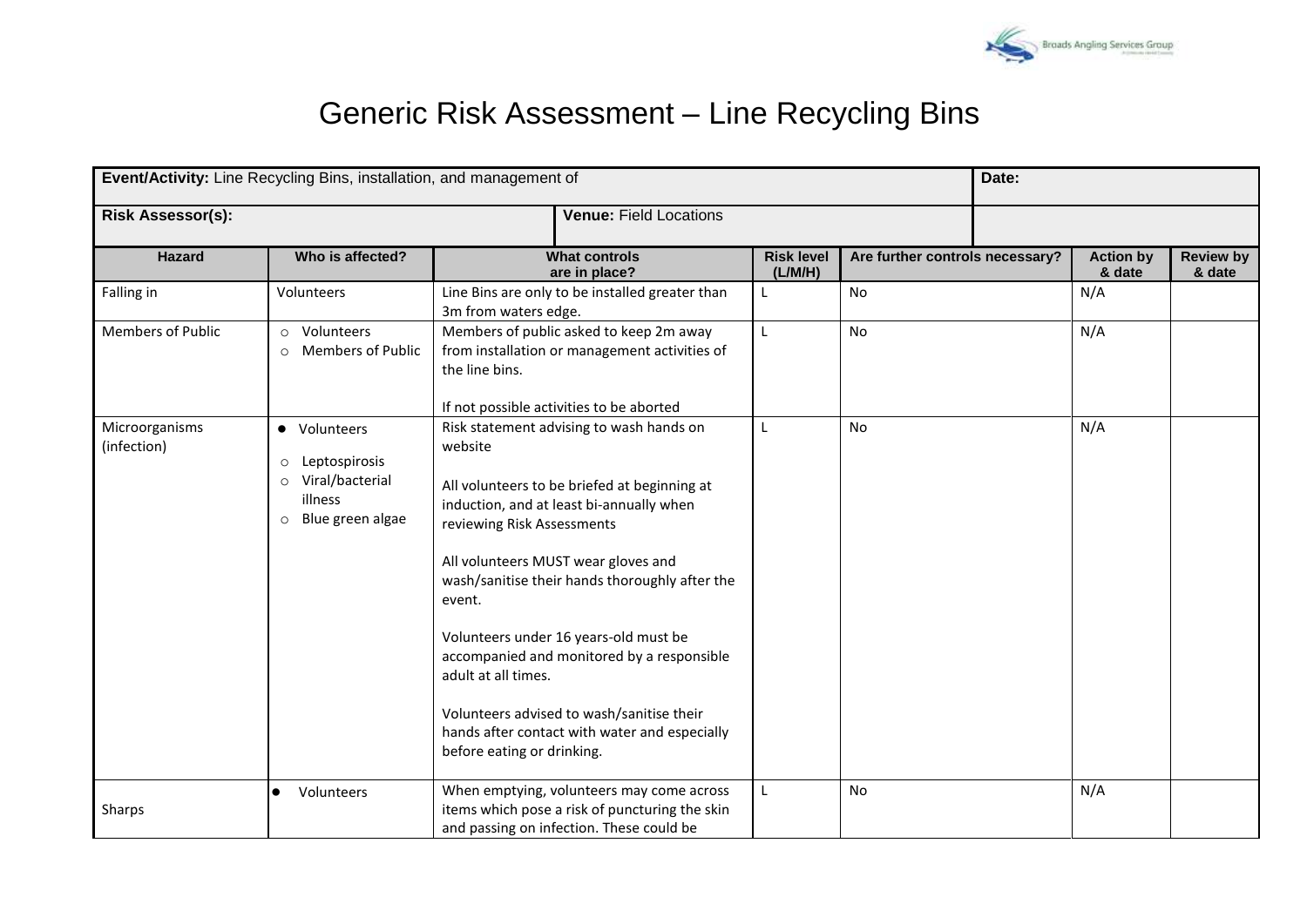

## Generic Risk Assessment – Line Recycling Bins

| Event/Activity: Line Recycling Bins, installation, and management of | Date:                                                                                                            |                                                                                                                                                                                                                                                                                                                                                                                                                                                                                                                            |                              |                                 |  |                            |                            |
|----------------------------------------------------------------------|------------------------------------------------------------------------------------------------------------------|----------------------------------------------------------------------------------------------------------------------------------------------------------------------------------------------------------------------------------------------------------------------------------------------------------------------------------------------------------------------------------------------------------------------------------------------------------------------------------------------------------------------------|------------------------------|---------------------------------|--|----------------------------|----------------------------|
| <b>Risk Assessor(s):</b>                                             |                                                                                                                  | <b>Venue: Field Locations</b>                                                                                                                                                                                                                                                                                                                                                                                                                                                                                              |                              |                                 |  |                            |                            |
| <b>Hazard</b>                                                        | Who is affected?                                                                                                 | <b>What controls</b><br>are in place?                                                                                                                                                                                                                                                                                                                                                                                                                                                                                      | <b>Risk level</b><br>(L/M/H) | Are further controls necessary? |  | <b>Action by</b><br>& date | <b>Review by</b><br>& date |
| Falling in                                                           | Volunteers                                                                                                       | Line Bins are only to be installed greater than<br>3m from waters edge.                                                                                                                                                                                                                                                                                                                                                                                                                                                    |                              | No                              |  | N/A                        |                            |
| <b>Members of Public</b>                                             | Volunteers<br>$\circ$<br>Members of Public<br>$\circ$                                                            | Members of public asked to keep 2m away<br>from installation or management activities of<br>the line bins.<br>If not possible activities to be aborted                                                                                                                                                                                                                                                                                                                                                                     | L.                           | No                              |  | N/A                        |                            |
| Microorganisms<br>(infection)                                        | • Volunteers<br>Leptospirosis<br>$\circ$<br>Viral/bacterial<br>$\circ$<br>illness<br>Blue green algae<br>$\circ$ | Risk statement advising to wash hands on<br>website<br>All volunteers to be briefed at beginning at<br>induction, and at least bi-annually when<br>reviewing Risk Assessments<br>All volunteers MUST wear gloves and<br>wash/sanitise their hands thoroughly after the<br>event.<br>Volunteers under 16 years-old must be<br>accompanied and monitored by a responsible<br>adult at all times.<br>Volunteers advised to wash/sanitise their<br>hands after contact with water and especially<br>before eating or drinking. | L                            | <b>No</b>                       |  | N/A                        |                            |
| Sharps                                                               | Volunteers<br>$\bullet$                                                                                          | When emptying, volunteers may come across<br>items which pose a risk of puncturing the skin<br>and passing on infection. These could be                                                                                                                                                                                                                                                                                                                                                                                    | L                            | No                              |  | N/A                        |                            |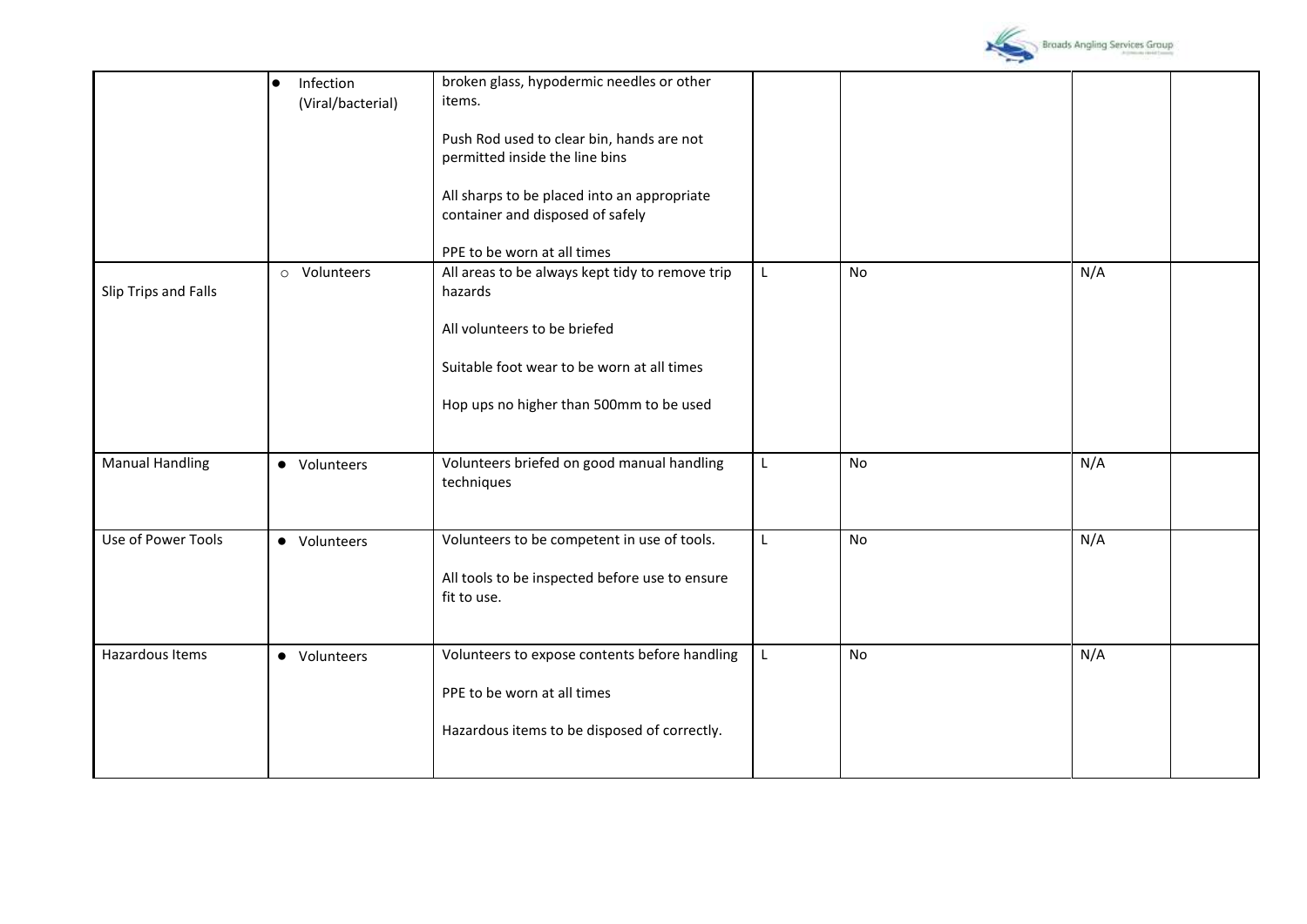

|                        | Infection<br>$\bullet$ | broken glass, hypodermic needles or other                |    |    |     |  |
|------------------------|------------------------|----------------------------------------------------------|----|----|-----|--|
|                        | (Viral/bacterial)      | items.                                                   |    |    |     |  |
|                        |                        | Push Rod used to clear bin, hands are not                |    |    |     |  |
|                        |                        | permitted inside the line bins                           |    |    |     |  |
|                        |                        | All sharps to be placed into an appropriate              |    |    |     |  |
|                        |                        | container and disposed of safely                         |    |    |     |  |
|                        |                        | PPE to be worn at all times                              |    |    |     |  |
|                        | o Volunteers           | All areas to be always kept tidy to remove trip          | L. | No | N/A |  |
| Slip Trips and Falls   |                        | hazards                                                  |    |    |     |  |
|                        |                        | All volunteers to be briefed                             |    |    |     |  |
|                        |                        | Suitable foot wear to be worn at all times               |    |    |     |  |
|                        |                        | Hop ups no higher than 500mm to be used                  |    |    |     |  |
|                        |                        |                                                          |    |    |     |  |
| <b>Manual Handling</b> | • Volunteers           | Volunteers briefed on good manual handling<br>techniques | L  | No | N/A |  |
|                        |                        |                                                          |    |    |     |  |
| Use of Power Tools     | • Volunteers           | Volunteers to be competent in use of tools.              | L. | No | N/A |  |
|                        |                        | All tools to be inspected before use to ensure           |    |    |     |  |
|                        |                        | fit to use.                                              |    |    |     |  |
|                        |                        |                                                          |    |    |     |  |
| Hazardous Items        | • Volunteers           | Volunteers to expose contents before handling            | L. | No | N/A |  |
|                        |                        | PPE to be worn at all times                              |    |    |     |  |
|                        |                        | Hazardous items to be disposed of correctly.             |    |    |     |  |
|                        |                        |                                                          |    |    |     |  |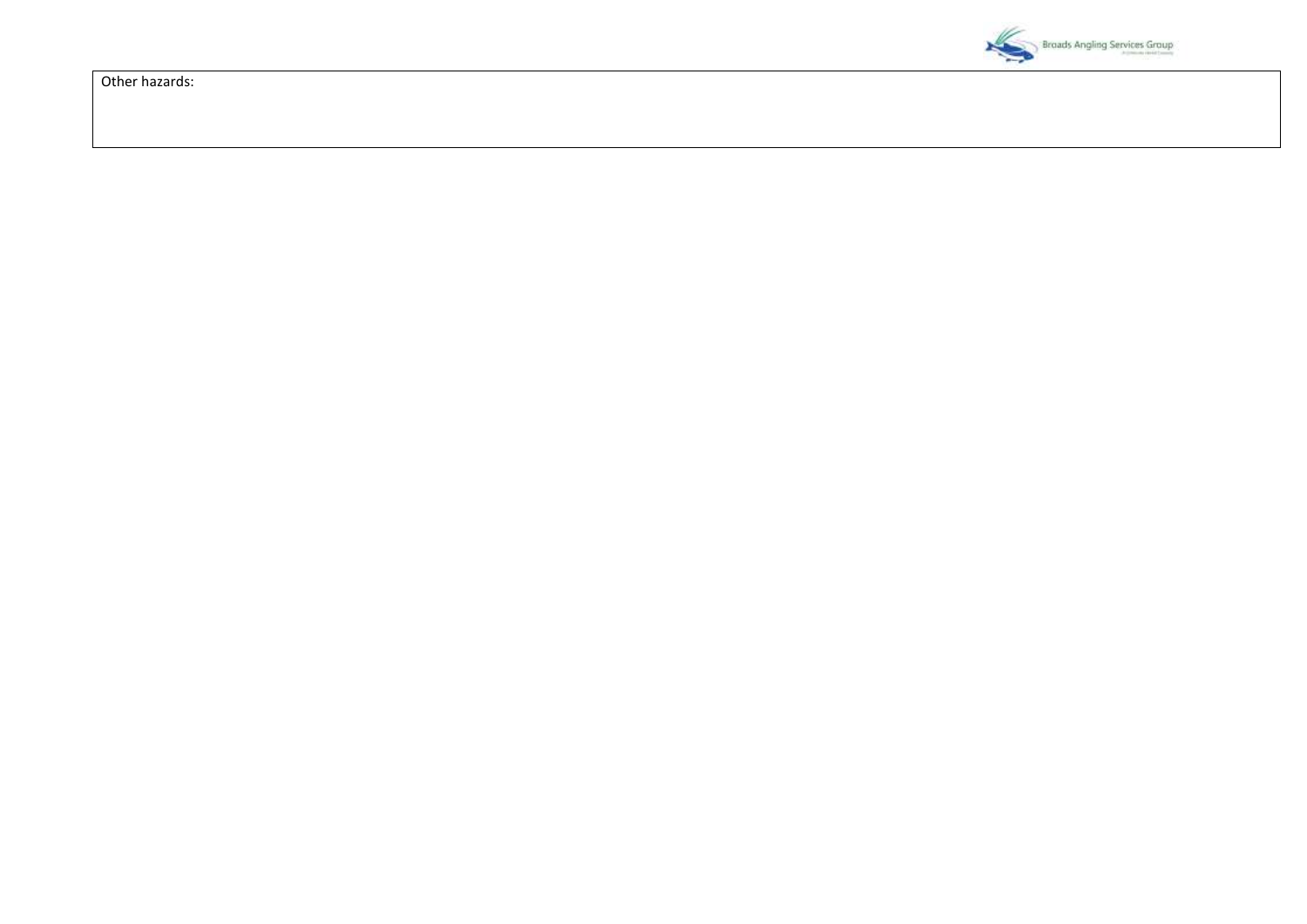

Other hazards: